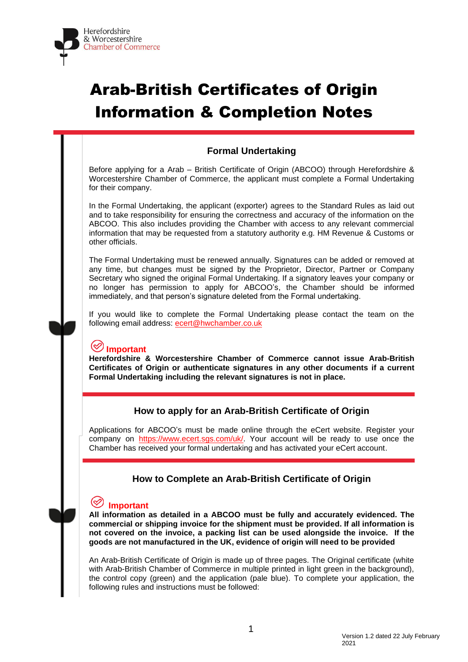

# Arab-British Certificates of Origin Information & Completion Notes

## **Formal Undertaking**

Before applying for a Arab – British Certificate of Origin (ABCOO) through Herefordshire & Worcestershire Chamber of Commerce, the applicant must complete a Formal Undertaking for their company.

In the Formal Undertaking, the applicant (exporter) agrees to the Standard Rules as laid out and to take responsibility for ensuring the correctness and accuracy of the information on the ABCOO. This also includes providing the Chamber with access to any relevant commercial information that may be requested from a statutory authority e.g. HM Revenue & Customs or other officials.

The Formal Undertaking must be renewed annually. Signatures can be added or removed at any time, but changes must be signed by the Proprietor, Director, Partner or Company Secretary who signed the original Formal Undertaking. If a signatory leaves your company or no longer has permission to apply for ABCOO's, the Chamber should be informed immediately, and that person's signature deleted from the Formal undertaking.

If you would like to complete the Formal Undertaking please contact the team on the following email address: [ecert@hwchamber.co.uk](mailto:ecert@hwchamber.co.uk)

## **Important**

**Herefordshire & Worcestershire Chamber of Commerce cannot issue Arab-British Certificates of Origin or authenticate signatures in any other documents if a current Formal Undertaking including the relevant signatures is not in place.**

## **How to apply for an Arab-British Certificate of Origin**

Applications for ABCOO's must be made online through the eCert website. Register your company on [https://www.ecert.sgs.com/uk/.](https://www.ecert.sgs.com/uk/) Your account will be ready to use once the Chamber has received your formal undertaking and has activated your eCert account.

## **How to Complete an Arab-British Certificate of Origin**

# **Important**

**All information as detailed in a ABCOO must be fully and accurately evidenced. The commercial or shipping invoice for the shipment must be provided. If all information is not covered on the invoice, a packing list can be used alongside the invoice. If the goods are not manufactured in the UK, evidence of origin will need to be provided**

An Arab-British Certificate of Origin is made up of three pages. The Original certificate (white with Arab-British Chamber of Commerce in multiple printed in light green in the background), the control copy (green) and the application (pale blue). To complete your application, the following rules and instructions must be followed: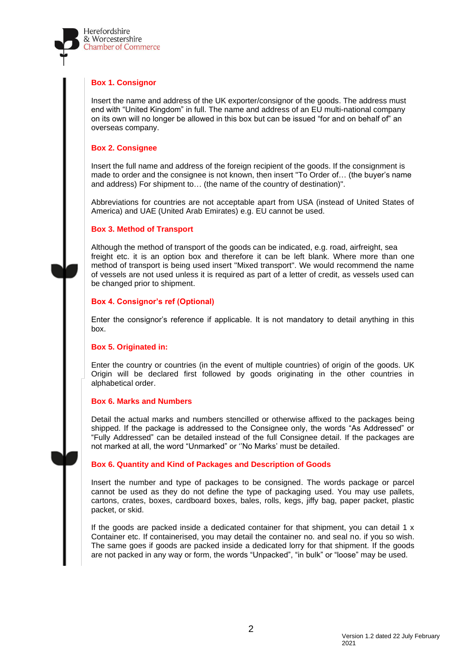

#### **Box 1. Consignor**

Insert the name and address of the UK exporter/consignor of the goods. The address must end with "United Kingdom" in full. The name and address of an EU multi-national company on its own will no longer be allowed in this box but can be issued "for and on behalf of" an overseas company.

#### **Box 2. Consignee**

Insert the full name and address of the foreign recipient of the goods. If the consignment is made to order and the consignee is not known, then insert "To Order of… (the buyer's name and address) For shipment to… (the name of the country of destination)".

Abbreviations for countries are not acceptable apart from USA (instead of United States of America) and UAE (United Arab Emirates) e.g. EU cannot be used.

#### **Box 3. Method of Transport**

Although the method of transport of the goods can be indicated, e.g. road, airfreight, sea freight etc. it is an option box and therefore it can be left blank. Where more than one method of transport is being used insert "Mixed transport". We would recommend the name of vessels are not used unless it is required as part of a letter of credit, as vessels used can be changed prior to shipment.

#### **Box 4. Consignor's ref (Optional)**

Enter the consignor's reference if applicable. It is not mandatory to detail anything in this box.

#### **Box 5. Originated in:**

Enter the country or countries (in the event of multiple countries) of origin of the goods. UK Origin will be declared first followed by goods originating in the other countries in alphabetical order.

#### **Box 6. Marks and Numbers**

Detail the actual marks and numbers stencilled or otherwise affixed to the packages being shipped. If the package is addressed to the Consignee only, the words "As Addressed" or "Fully Addressed" can be detailed instead of the full Consignee detail. If the packages are not marked at all, the word "Unmarked" or ''No Marks' must be detailed.

#### **Box 6. Quantity and Kind of Packages and Description of Goods**

Insert the number and type of packages to be consigned. The words package or parcel cannot be used as they do not define the type of packaging used. You may use pallets, cartons, crates, boxes, cardboard boxes, bales, rolls, kegs, jiffy bag, paper packet, plastic packet, or skid.

If the goods are packed inside a dedicated container for that shipment, you can detail  $1 \times$ Container etc. If containerised, you may detail the container no. and seal no. if you so wish. The same goes if goods are packed inside a dedicated lorry for that shipment. If the goods are not packed in any way or form, the words "Unpacked", "in bulk" or "loose" may be used.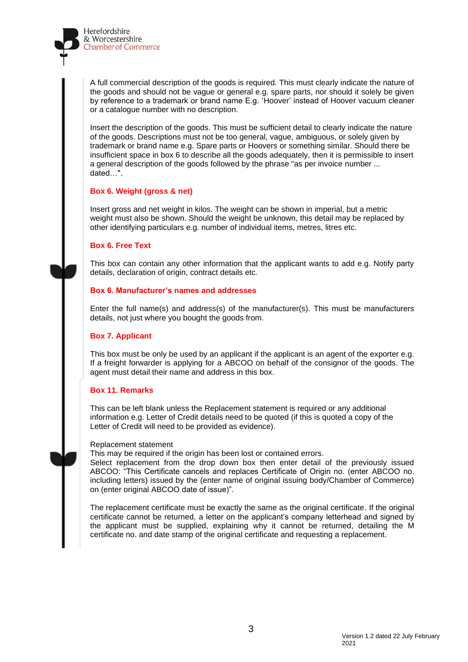

A full commercial description of the goods is required. This must clearly indicate the nature of the goods and should not be vague or general e.g. spare parts, nor should it solely be given by reference to a trademark or brand name E.g. 'Hoover' instead of Hoover vacuum cleaner or a catalogue number with no description.

Insert the description of the goods. This must be sufficient detail to clearly indicate the nature of the goods. Descriptions must not be too general, vague, ambiguous, or solely given by trademark or brand name e.g. Spare parts or Hoovers or something similar. Should there be insufficient space in box 6 to describe all the goods adequately, then it is permissible to insert a general description of the goods followed by the phrase "as per invoice number ... dated…".

#### **Box 6. Weight (gross & net)**

Insert gross and net weight in kilos. The weight can be shown in imperial, but a metric weight must also be shown. Should the weight be unknown, this detail may be replaced by other identifying particulars e.g. number of individual items, metres, litres etc.

#### **Box 6. Free Text**

This box can contain any other information that the applicant wants to add e.g. Notify party details, declaration of origin, contract details etc.

#### **Box 6. Manufacturer's names and addresses**

Enter the full name(s) and address(s) of the manufacturer(s). This must be manufacturers details, not just where you bought the goods from.

#### **Box 7. Applicant**

This box must be only be used by an applicant if the applicant is an agent of the exporter e.g. If a freight forwarder is applying for a ABCOO on behalf of the consignor of the goods. The agent must detail their name and address in this box.

#### **Box 11. Remarks**

This can be left blank unless the Replacement statement is required or any additional information e.g. Letter of Credit details need to be quoted (if this is quoted a copy of the Letter of Credit will need to be provided as evidence).

#### Replacement statement

This may be required if the origin has been lost or contained errors.

Select replacement from the drop down box then enter detail of the previously issued ABCOO: "This Certificate cancels and replaces Certificate of Origin no. (enter ABCOO no. including letters) issued by the (enter name of original issuing body/Chamber of Commerce) on (enter original ABCOO date of issue)".

The replacement certificate must be exactly the same as the original certificate. If the original certificate cannot be returned, a letter on the applicant's company letterhead and signed by the applicant must be supplied, explaining why it cannot be returned, detailing the M certificate no. and date stamp of the original certificate and requesting a replacement.